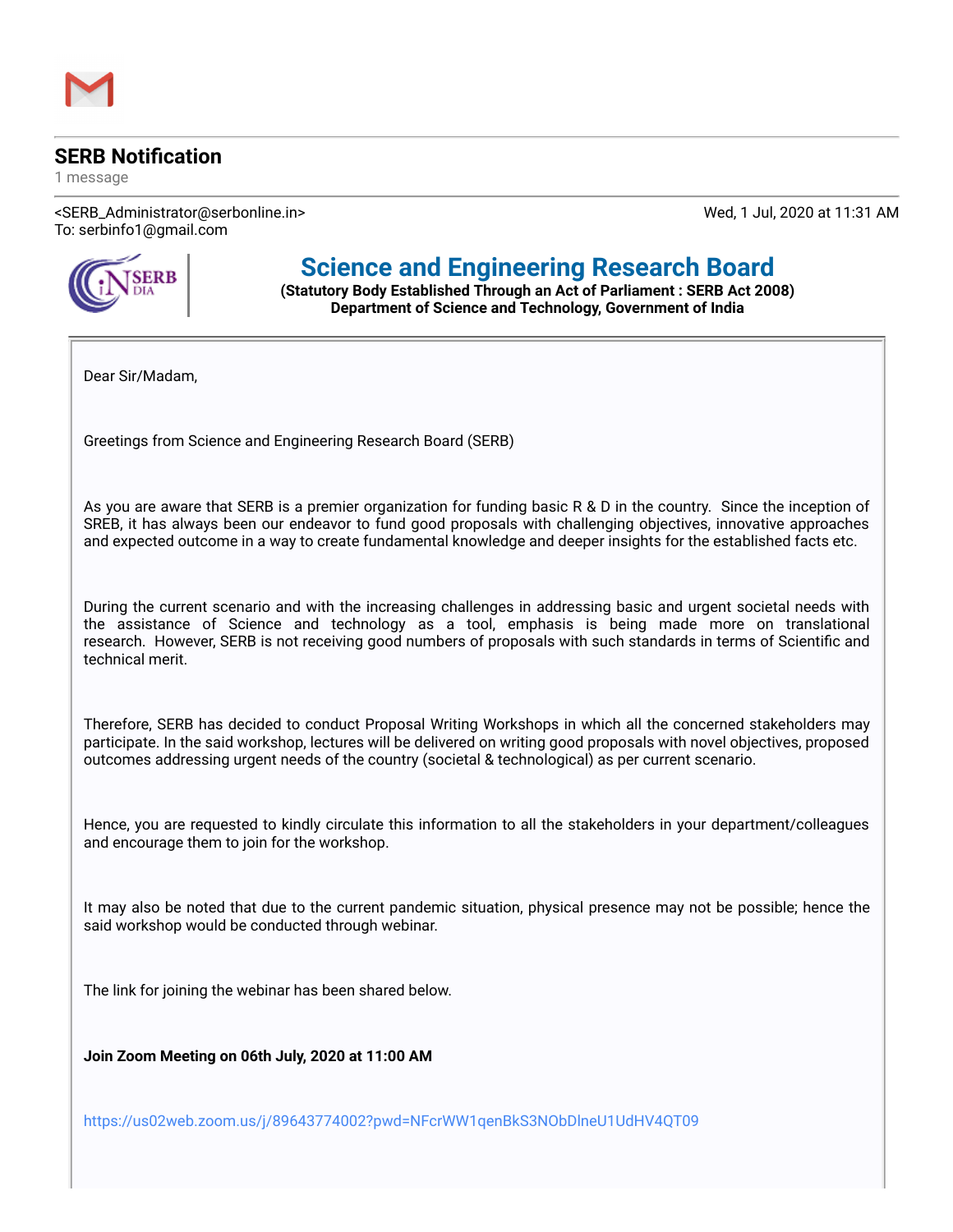## **SERB Notification**

1 message

<SERB\_Administrator@serbonline.in> Wed, 1 Jul, 2020 at 11:31 AM To: serbinfo1@gmail.com



## **Science and Engineering Research Board**

**(Statutory Body Established Through an Act of Parliament : SERB Act 2008) Department of Science and Technology, Government of India**

Dear Sir/Madam,

Greetings from Science and Engineering Research Board (SERB)

As you are aware that SERB is a premier organization for funding basic R & D in the country. Since the inception of SREB, it has always been our endeavor to fund good proposals with challenging objectives, innovative approaches and expected outcome in a way to create fundamental knowledge and deeper insights for the established facts etc.

During the current scenario and with the increasing challenges in addressing basic and urgent societal needs with the assistance of Science and technology as a tool, emphasis is being made more on translational research. However, SERB is not receiving good numbers of proposals with such standards in terms of Scientific and technical merit.

Therefore, SERB has decided to conduct Proposal Writing Workshops in which all the concerned stakeholders may participate. In the said workshop, lectures will be delivered on writing good proposals with novel objectives, proposed outcomes addressing urgent needs of the country (societal & technological) as per current scenario.

Hence, you are requested to kindly circulate this information to all the stakeholders in your department/colleagues and encourage them to join for the workshop.

It may also be noted that due to the current pandemic situation, physical presence may not be possible; hence the said workshop would be conducted through webinar.

The link for joining the webinar has been shared below.

**Join Zoom Meeting on 06th July, 2020 at 11:00 AM**

<https://us02web.zoom.us/j/89643774002?pwd=NFcrWW1qenBkS3NObDlneU1UdHV4QT09>